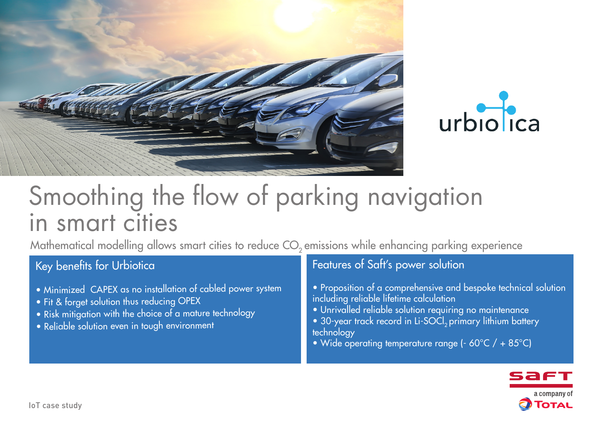



# Smoothing the flow of parking navigation in smart cities

Mathematical modelling allows smart cities to reduce CO<sub>2</sub> emissions while enhancing parking experience

## Key benefits for Urbiotica

- Minimized CAPEX as no installation of cabled power system
- Fit & forget solution thus reducing OPEX
- Risk mitigation with the choice of a mature technology
- Reliable solution even in tough environment

## Features of Saft's power solution

- Proposition of a comprehensive and bespoke technical solution including reliable lifetime calculation
- Unrivalled reliable solution requiring no maintenance
- 30-year track record in Li-SOCl<sub>2</sub> primary lithium battery technology
- Wide operating temperature range ( $-60^{\circ}$ C) + 85°C)